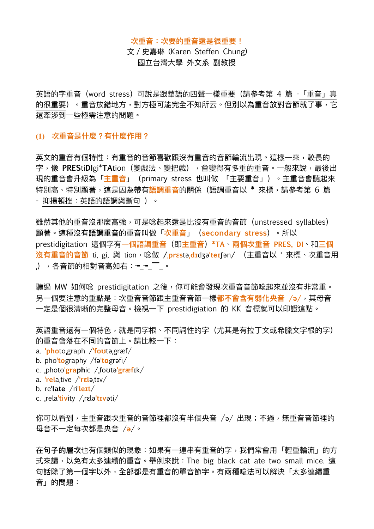#### **次重⾳:次要的重⾳還是很重要!**

文 / 史嘉琳 (Karen Steffen Chung) 國立台灣⼤學 外⽂系 副教授

英語的字重音(word stress)可說是跟華語的四聲一樣重要(請參考第 4 篇 -「重音」真 的很重要)。重音放錯地方,對方極可能完全不知所云。但別以為重音放對音節就了事,它 還牽涉到⼀些極需注意的問題。

# **(1) 次重⾳是什麼?有什麼作⽤?**

英文的重音有個特性:有重音的音歡跟沒有重音的音節輪流出現。這樣一來,較長的 字,像 PREStiDIgi\*TAtion(變戲法、變把戲),會變得有多重的重音。一般來說,最後出 現的重音會升級為「<mark>主重音」</mark> (primary stress 也叫做 「主要重音」) 。主重音會聽起來 特別高、特別顯著,這是因為帶有<mark>語調重音</mark>的關係(語調重音以 \* 來標,請參考第 6 篇 - 抑揚頓挫:英語的語調與斷句 )。

雖然其他的重音沒那麼高強,可是唸起來還是比沒有重音的音節 (unstressed syllables) 顯著。這種沒有**語調重⾳**的重⾳叫做「**次重⾳**」(**secondary stress**)。所以 prestidigitation 這個字有**⼀個語調重⾳**(即**主重⾳**)**\*TA**、**兩個次重⾳ PRES, DI**、和**三個**  $\mathbf{\hat{z}}$ 有重音的音節 ti, gi, 與 tion, 唸做 /,pr $\mathbf{\hat{z}}$ stə,dɪdʒəˈteɪʃən/ (主重音以 ' 來標、次重音用 **.)** ,各音節的相對音高如右:<del>-</del>- ̄\_。

聽過 MW 如何唸 prestidigitation 之後,你可能會發現次重音音節唸起來並沒有非常重。 另一個要注意的重點是:次重音音節跟主重音音節一樣都不會含有弱化央音 /ə/,其母音 一定是個很清晰的完整母音。檢視一下 prestidigiation 的 KK 音標就可以印證這點。

英語重音還有一個特色,就是同字根、不同詞性的字(尤其是有拉丁文或希臘文字根的字) 的重音會落在不同的音節上。請比較一下:

- a. **ˈpho**to**ˌ**graph /**ˈfoʊ**təˌgræf/
- b. pho**ˈto**graphy /fə**ˈtɑ**grəfi/
- c. **ˌ**photo**ˈgraph**ic /**ˌ**foʊtə**ˈgræf**ɪk/
- a. **ˈrel**a**ˌ**tive /**ˈrɛl**əˌtɪv/
- b. re**ˈlate** /ri**ˈleɪt**/
- c. **ˌ**rela**ˈtiv**ity /ˌrɛlə**ˈtɪv**əti/

你可以看到,主重音跟次重音的音節裡都沒有半個央音 /ə/ 出現;不過,無重音音節裡的 ⺟⾳不⼀定每次都是央⾳ /**ə**/。

在**句子的層次**也有個類似的現象:如果有一連串有重音的字,我們常會用「輕重輪流」的方 式來讀,以免有太多連續的重音。舉例來說: The big black cat ate two small mice. 這 句話除了第一個字以外,全部都是有重音的單音節字。有兩種唸法可以解決「太多連續重 音」的問題: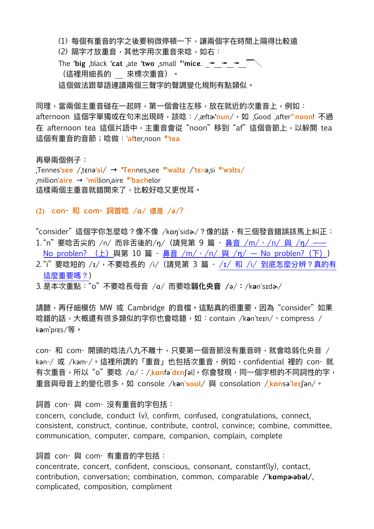(1) 每個有重音的字之後要稍微停頓一下,讓兩個字在時間上隔得比較遠

(2) 隔字才放重音,其他字用次重音來唸,如右:

The **ˈbig ˌ**black **ˈcat ˌ**ate **ˈtwo ˌ**small \***ˈmice**. ╼╼ ╼ ▔╲ (這裡⽤細長的來標次重⾳)。 這個做法跟華語連讀兩個三聲字的聲調變化規則有點類似。

同理,當兩個主重音碰在一起時,第一個會往左移,放在就近的次重音上,例如: afternoon 這個字單獨或在句末出現時,該唸:/ˌæftɚ**ˈnun**/,如 ˌGood ˌafter\*ˈ**noon**! 不過 在 afternoon tea 這個片語中,主重音會從"noon"移到"af"這個音節上,以躲開 tea 這個有重⾳的⾳節;唸做:**ˈaf**ter**ˌ**noon **\*ˈtea**

再舉兩個例子: **ˌ**Tennes**ˈsee** /**ˌ**tɛnə**ˈsi**/ **→ ˈTen**nes**ˌ**see **\*ˈwaltz** /**ˈtɛ**nə**ˌ**si **\*ˈwɔlts/ ˌ**million**ˈaire → ˈmil**lion**ˌ**aire **\*ˈbach**elor 這樣兩個主重音就錯開來了,比較好唸又更悅耳。

**(2) con- 和 com- 詞⾸唸 /ɑ/ 還是 /ə/?** 

"consider"這個字你怎麼唸?像不像 /kan'sida/?像的話,有三個發音錯誤該馬上糾正:

- 1. "n" 要唸舌尖的 /n/ 而非舌後的/n/ (請見第 9 篇 鼻音 /m/、/n/ 與 /n/ —— [No problen?](https://www.ntufe.org/%e9%bc%bb%e9%9f%b3-m-%e3%80%81-n-%e8%88%87-n-no-problen-%ef%bc%88%e4%b8%8a%ef%bc%89/) (上) 與第 10 篇 - 鼻音 /m/、/n/ 與 /ŋ[/ — No problen?](https://www.ntufe.org/%e9%bc%bb%e9%9f%b3-m-%e3%80%81-n-%e8%88%87-n-no-problen-%e4%b8%8b/) (下))
- 2."i"要唸短的 /ɪ/, 不要唸長的 /i/ (請見第 3 篇 /ɪ/ 和 /i/ [到底怎麼分辨?真的有](https://www.ntufe.org/%c9%aa-%e5%92%8c-i-%e5%88%b0%e5%ba%95%e6%80%8e%e9%ba%bc%e5%88%86%e8%be%a8%ef%bc%9f%e7%9c%9f%e7%9a%84%e6%9c%89%e9%80%99%e9%ba%bc%e9%87%8d%e8%a6%81%e5%97%8e%ef%bc%9f/) [這麼重要嗎?](https://www.ntufe.org/%c9%aa-%e5%92%8c-i-%e5%88%b0%e5%ba%95%e6%80%8e%e9%ba%bc%e5%88%86%e8%be%a8%ef%bc%9f%e7%9c%9f%e7%9a%84%e6%9c%89%e9%80%99%e9%ba%bc%e9%87%8d%e8%a6%81%e5%97%8e%ef%bc%9f/))
- 3. 是本次重點:"o" 不要唸長⺟⾳ /ɑ/ ⽽要唸**弱化央⾳ /**ə/**:**/k**ə**n'sɪdɚ/

請聽,再仔細模仿 MW 或 Cambridge 的音檔。這點真的很重要,因為"consider"如果 唸錯的話,⼤概還有很多類似的字你也會唸錯,如:contain /k**ə**n'teɪn/、compress / k**ə**m'prɛs/等。

con- 和 com- 開頭的唸法八九不離十,只要第一個音節沒有重音時,就會唸弱化央音 / kən-/ 或 /kəm-/。這裡所謂的「重音」也包括次重音, 例如, confidential 裡的 con- 就 有次重⾳,所以 "o" 要唸 /ɑ/:/**ˌkɑn**fə**'dɛn**ʃəl]。你會發現,同⼀個字根的不同詞性的字, 重⾳與⺟⾳上的變化很多,如 console /k**ə**n**'soʊl**/ 與 consolation /**ˌkɑn**sə**'leɪ**ʃən/。

詞首 con- 與 com- 沒有重音的字包括:

concern, conclude, conduct (v), confirm, confused, congratulations, connect, consistent, construct, continue, contribute, control, convince; combine, committee, communication, computer, compare, companion, complain, complete

詞首 con- 與 com- 有重音的字包括:

concentrate, concert, confident, conscious, consonant, constant(ly), contact, contribution, conversation; combination, common, comparable **/'kɑmpɚəbəl/**, complicated, composition, compliment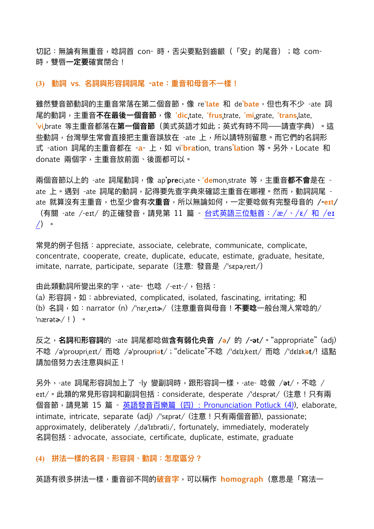切記:無論有無重音,唸詞首 con- 時,舌尖要點到齒齦(「安」的尾音);唸 com-時,雙唇**⼀定要**確實閉合!

### **(3) 動詞 vs. 名詞與形容詞詞尾 -ate:重⾳和⺟⾳不⼀樣!**

雖然雙音節動詞的主重音常落在第二個音節,像 re'**late** 和 de'**bate**,但也有不少 -ate 詞 尾的動詞,主重⾳**不在最後⼀個⾳節**,像 **'dicˌ**tate, **'frusˌ**trate, **'miˌ**grate, **'transˌ**late, **'viˌ**brate 等主重⾳都落在**第⼀個⾳節**(美式英語才如此;英式有時不同——請查字典)。這 些動詞,台灣學生常會直接把主重音誤放在 -ate 上,所以請特別留意。而它們的名詞形 式 -ation 詞尾的主重音都在 -a- 上, 如 vi'bration, trans'lation 等。另外, Locate 和 donate 兩個字,主重音放前面、後面都可以。

兩個音節以上的 -ate 詞尾動詞,像 ap'**pre**ciate、'demon.strate 等,主重音**都不會**是在 ate 上。遇到 -ate 詞尾的動詞,記得要先查字典來確認主重音在哪裡。然而,動詞詞尾 ate 就算沒有主重⾳,也⾄少會有**次重⾳**,所以無論如何,⼀定要唸做有完整⺟⾳的 **/-eɪt/** (有關 -ate /-eɪt/ 的正確發音,請見第 11 篇 - 台式英語三位魁首:/æ/、/ε/ 和 /eɪ [/](https://www.ntufe.org/%e5%8f%b0%e5%bc%8f%e8%8b%b1%e8%aa%9e%e4%b8%89%e4%bd%8d%e9%ad%81%e9%a6%96%ef%bc%9a-ae-%e3%80%81-%c9%9b-%e5%92%8c-e%c9%aa/))。

常見的例子包括: appreciate, associate, celebrate, communicate, complicate, concentrate, cooperate, create, duplicate, educate, estimate, graduate, hesitate, imitate, narrate, participate, separate (注意: 發音是 /ˈsɛpəˌreɪt/)

# 由此類動詞所變出來的字,-ate- 也唸 /-eɪt-/,包括:

(a) 形容詞, 如: abbreviated, complicated, isolated, fascinating, irritating; 和 (b) 名詞,如:narrator (n) /ˈnɛr**ˌ**eɪtɚ/(注意重⾳與⺟⾳!**不要唸**⼀般台灣⼈常唸的/ ˈnærətɚ/!)。

反之,**名詞**和**形容詞**的 -ate 詞尾都唸做**含有弱化央⾳ /ə/** 的 **/-ət/**。"appropriate" (adj) 不唸 /əˈproʊpriˌeɪt/ ⽽唸 /əˈproʊpriə**t**/;"delicate"不唸 /ˈdɛlɪˌkeɪt/ ⽽唸 /ˈdɛlɪk**ət**/! 這點 請加倍努力去注意與糾正!

另外,-ate 詞尾形容詞加上了 -ly 變副詞時,跟形容詞⼀樣,-ate- 唸做 /**ət**/,不唸 / eɪt/。此類的常⾒形容詞和副詞包括:considerate, desperate /ˈdɛsprət/ (注意!只有兩 個音節,請見第 15 篇 - 英語發音百樂篇 (四)[: Pronunciation Potluck \(4\)](https://www.ntufe.org/%e8%8b%b1%e8%aa%9e%e7%99%bc%e9%9f%b3%e7%99%be%e6%a8%82%e7%af%87%ef%bc%88%e5%9b%9b%ef%bc%89-pronunciation-potluck-4/)), elaborate, intimate, intricate, separate (adj) /'sɛprət/ (注意! 只有兩個音節), passionate; approximately, deliberately /ˌdəˈlɪbrətli/, fortunately, immediately, moderately 名詞包括: advocate, associate, certificate, duplicate, estimate, graduate

## **(4) 拼法⼀樣的名詞、形容詞、動詞:怎麼區分?**

英語有很多拼法一樣,重音卻不同的<mark>破音字</mark>,可以稱作 homograph(意思是「寫法一